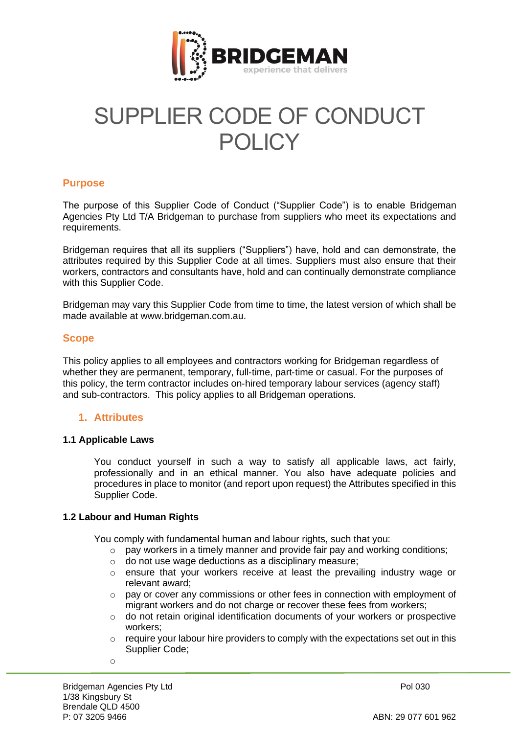

# SUPPLIER CODE OF CONDUCT POLICY

## **Purpose**

The purpose of this Supplier Code of Conduct ("Supplier Code") is to enable Bridgeman Agencies Pty Ltd T/A Bridgeman to purchase from suppliers who meet its expectations and requirements.

Bridgeman requires that all its suppliers ("Suppliers") have, hold and can demonstrate, the attributes required by this Supplier Code at all times. Suppliers must also ensure that their workers, contractors and consultants have, hold and can continually demonstrate compliance with this Supplier Code.

Bridgeman may vary this Supplier Code from time to time, the latest version of which shall be made available at www.bridgeman.com.au.

## **Scope**

This policy applies to all employees and contractors working for Bridgeman regardless of whether they are permanent, temporary, full-time, part-time or casual. For the purposes of this policy, the term contractor includes on‐hired temporary labour services (agency staff) and sub‐contractors. This policy applies to all Bridgeman operations.

## **1. Attributes**

## **1.1 Applicable Laws**

You conduct yourself in such a way to satisfy all applicable laws, act fairly, professionally and in an ethical manner. You also have adequate policies and procedures in place to monitor (and report upon request) the Attributes specified in this Supplier Code.

## **1.2 Labour and Human Rights**

You comply with fundamental human and labour rights, such that you:

- o pay workers in a timely manner and provide fair pay and working conditions;
- o do not use wage deductions as a disciplinary measure;
- o ensure that your workers receive at least the prevailing industry wage or relevant award;
- $\circ$  pay or cover any commissions or other fees in connection with employment of migrant workers and do not charge or recover these fees from workers;
- o do not retain original identification documents of your workers or prospective workers;
- $\circ$  require your labour hire providers to comply with the expectations set out in this Supplier Code;
- o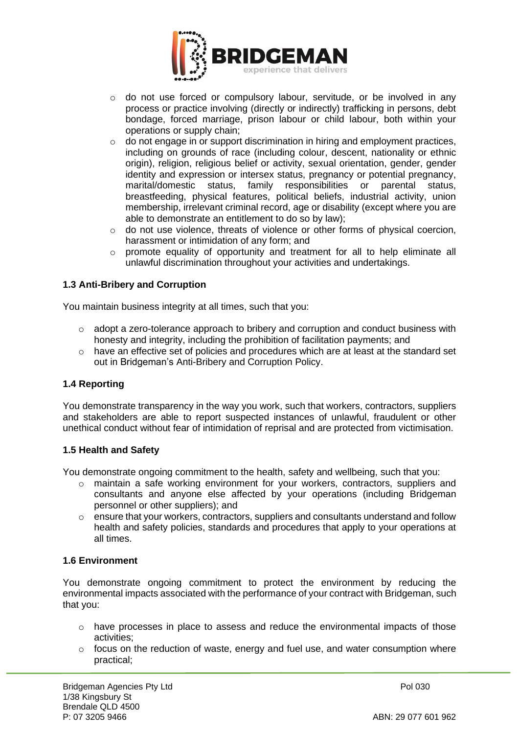

- o do not use forced or compulsory labour, servitude, or be involved in any process or practice involving (directly or indirectly) trafficking in persons, debt bondage, forced marriage, prison labour or child labour, both within your operations or supply chain;
- $\circ$  do not engage in or support discrimination in hiring and employment practices, including on grounds of race (including colour, descent, nationality or ethnic origin), religion, religious belief or activity, sexual orientation, gender, gender identity and expression or intersex status, pregnancy or potential pregnancy, marital/domestic status, family responsibilities or parental status, breastfeeding, physical features, political beliefs, industrial activity, union membership, irrelevant criminal record, age or disability (except where you are able to demonstrate an entitlement to do so by law);
- o do not use violence, threats of violence or other forms of physical coercion, harassment or intimidation of any form; and
- $\circ$  promote equality of opportunity and treatment for all to help eliminate all unlawful discrimination throughout your activities and undertakings.

## **1.3 Anti-Bribery and Corruption**

You maintain business integrity at all times, such that you:

- o adopt a zero-tolerance approach to bribery and corruption and conduct business with honesty and integrity, including the prohibition of facilitation payments; and
- o have an effective set of policies and procedures which are at least at the standard set out in Bridgeman's Anti-Bribery and Corruption Policy.

## **1.4 Reporting**

You demonstrate transparency in the way you work, such that workers, contractors, suppliers and stakeholders are able to report suspected instances of unlawful, fraudulent or other unethical conduct without fear of intimidation of reprisal and are protected from victimisation.

## **1.5 Health and Safety**

You demonstrate ongoing commitment to the health, safety and wellbeing, such that you:

- o maintain a safe working environment for your workers, contractors, suppliers and consultants and anyone else affected by your operations (including Bridgeman personnel or other suppliers); and
- $\circ$  ensure that your workers, contractors, suppliers and consultants understand and follow health and safety policies, standards and procedures that apply to your operations at all times.

## **1.6 Environment**

You demonstrate ongoing commitment to protect the environment by reducing the environmental impacts associated with the performance of your contract with Bridgeman, such that you:

- $\circ$  have processes in place to assess and reduce the environmental impacts of those activities;
- $\circ$  focus on the reduction of waste, energy and fuel use, and water consumption where practical;